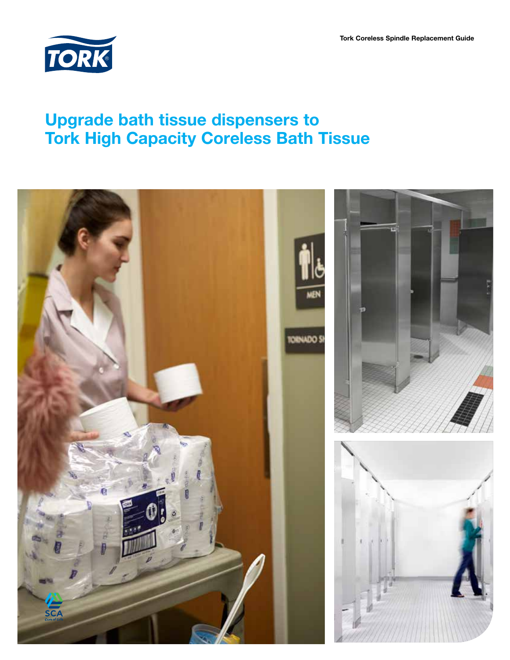Tork Coreless Spindle Replacement Guide



### Upgrade bath tissue dispensers to Tork High Capacity Coreless Bath Tissue

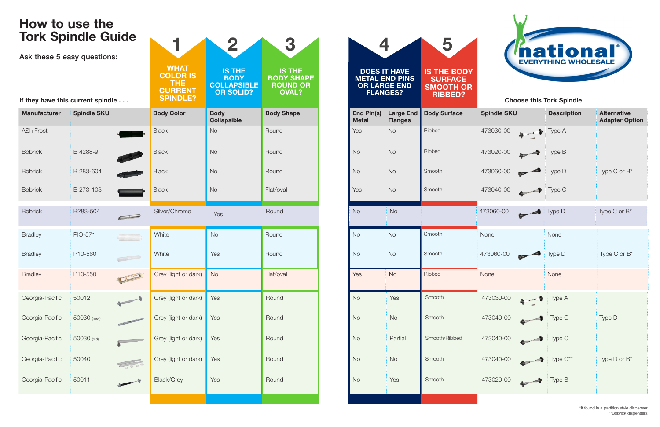| <b>TAH</b><br><b>IS THE</b><br><b>IS THE</b><br><b>DOES IT HAVE</b><br><b>IS THE BODY</b><br><b>BODY SHAPE</b><br><b>BODY</b><br><b>METAL END PINS</b><br><b>SURFACE</b><br><b>COLLAPSIBLE</b><br><b>ROUND OR</b><br><b>OR LARGE END</b><br><b>SMOOTH OR</b><br><b>OVAL?</b><br><b>OR SOLID?</b><br><b>FLANGES?</b><br><b>RIBBED?</b><br><b>Choose this Tork Spindle</b><br><b>Body</b><br><b>Body Shape</b><br><b>End Pin(s)</b><br><b>Large End</b><br><b>Body Surface</b><br><b>Spindle SKU</b><br><b>Description</b><br><b>Metal</b><br><b>Collapsible</b><br><b>Flanges</b><br>Ribbed<br>No<br>Round<br>Yes<br><b>No</b><br>473030-00<br>$\bullet$ $\bullet$ Type A<br>Ribbed<br><b>No</b><br><b>No</b><br><b>No</b><br>473020-00<br>Round<br>$\frac{1}{2}$ Type B<br>473060-00<br><b>No</b><br><b>No</b><br>Smooth<br>Type D<br><b>No</b><br>Round<br>Smooth<br>473040-00<br><b>No</b><br>Flat/oval<br>Yes<br><b>No</b><br>$\frac{1}{2}$ Type C<br>$\overline{\phantom{a}}$<br>Round<br><b>No</b><br><b>No</b><br>473060-00<br>$\mathsf{Type}\ \mathsf{D}$<br>Yes<br>Smooth<br><b>No</b><br>Round<br><b>No</b><br><b>No</b><br>None<br>None<br>Yes<br>Round<br><b>No</b><br><b>No</b><br>Smooth<br>473060-00<br>Type D<br>Ribbed<br><b>No</b><br>Flat/oval<br>Yes<br>None<br><b>No</b><br>None<br>473030-00<br>Yes<br>Round<br>$\frac{1}{2}$ Type A<br><b>No</b><br>Smooth<br>Yes<br>$\begin{array}{ccc}\n\bullet & & & \bullet & & \bullet\n\end{array}$<br>473040-00<br>Yes<br><b>No</b><br>Round<br><b>No</b><br>Smooth<br>Type C<br>Smooth/Ribbed<br>Yes<br>Partial<br>473040-00<br>Round<br><b>No</b><br>Type C | 1                                                     | $\mathbf{2}$ | 3 |  |  | 5 | <i><b>Inational</b></i><br><b>EVERYTHING WHOLESALE</b> |  |  |                                             |  |
|----------------------------------------------------------------------------------------------------------------------------------------------------------------------------------------------------------------------------------------------------------------------------------------------------------------------------------------------------------------------------------------------------------------------------------------------------------------------------------------------------------------------------------------------------------------------------------------------------------------------------------------------------------------------------------------------------------------------------------------------------------------------------------------------------------------------------------------------------------------------------------------------------------------------------------------------------------------------------------------------------------------------------------------------------------------------------------------------------------------------------------------------------------------------------------------------------------------------------------------------------------------------------------------------------------------------------------------------------------------------------------------------------------------------------------------------------------------------------------------------------------------------------------------------------------------------------------------------------------------------------|-------------------------------------------------------|--------------|---|--|--|---|--------------------------------------------------------|--|--|---------------------------------------------|--|
| Color                                                                                                                                                                                                                                                                                                                                                                                                                                                                                                                                                                                                                                                                                                                                                                                                                                                                                                                                                                                                                                                                                                                                                                                                                                                                                                                                                                                                                                                                                                                                                                                                                      | <b>LOR IS</b><br>THE.<br><b>RRENT</b><br><b>NDLE?</b> |              |   |  |  |   |                                                        |  |  |                                             |  |
|                                                                                                                                                                                                                                                                                                                                                                                                                                                                                                                                                                                                                                                                                                                                                                                                                                                                                                                                                                                                                                                                                                                                                                                                                                                                                                                                                                                                                                                                                                                                                                                                                            |                                                       |              |   |  |  |   |                                                        |  |  | <b>Alternative</b><br><b>Adapter Option</b> |  |
|                                                                                                                                                                                                                                                                                                                                                                                                                                                                                                                                                                                                                                                                                                                                                                                                                                                                                                                                                                                                                                                                                                                                                                                                                                                                                                                                                                                                                                                                                                                                                                                                                            |                                                       |              |   |  |  |   |                                                        |  |  |                                             |  |
| Chrome<br>ght or dark)<br>ght or dark)<br>ght or dark)<br>ght or dark)                                                                                                                                                                                                                                                                                                                                                                                                                                                                                                                                                                                                                                                                                                                                                                                                                                                                                                                                                                                                                                                                                                                                                                                                                                                                                                                                                                                                                                                                                                                                                     |                                                       |              |   |  |  |   |                                                        |  |  |                                             |  |
|                                                                                                                                                                                                                                                                                                                                                                                                                                                                                                                                                                                                                                                                                                                                                                                                                                                                                                                                                                                                                                                                                                                                                                                                                                                                                                                                                                                                                                                                                                                                                                                                                            |                                                       |              |   |  |  |   |                                                        |  |  | Type C or B*                                |  |
|                                                                                                                                                                                                                                                                                                                                                                                                                                                                                                                                                                                                                                                                                                                                                                                                                                                                                                                                                                                                                                                                                                                                                                                                                                                                                                                                                                                                                                                                                                                                                                                                                            |                                                       |              |   |  |  |   |                                                        |  |  |                                             |  |
|                                                                                                                                                                                                                                                                                                                                                                                                                                                                                                                                                                                                                                                                                                                                                                                                                                                                                                                                                                                                                                                                                                                                                                                                                                                                                                                                                                                                                                                                                                                                                                                                                            |                                                       |              |   |  |  |   |                                                        |  |  | Type C or B*                                |  |
|                                                                                                                                                                                                                                                                                                                                                                                                                                                                                                                                                                                                                                                                                                                                                                                                                                                                                                                                                                                                                                                                                                                                                                                                                                                                                                                                                                                                                                                                                                                                                                                                                            |                                                       |              |   |  |  |   |                                                        |  |  |                                             |  |
|                                                                                                                                                                                                                                                                                                                                                                                                                                                                                                                                                                                                                                                                                                                                                                                                                                                                                                                                                                                                                                                                                                                                                                                                                                                                                                                                                                                                                                                                                                                                                                                                                            |                                                       |              |   |  |  |   |                                                        |  |  | Type C or $B^*$                             |  |
|                                                                                                                                                                                                                                                                                                                                                                                                                                                                                                                                                                                                                                                                                                                                                                                                                                                                                                                                                                                                                                                                                                                                                                                                                                                                                                                                                                                                                                                                                                                                                                                                                            |                                                       |              |   |  |  |   |                                                        |  |  |                                             |  |
|                                                                                                                                                                                                                                                                                                                                                                                                                                                                                                                                                                                                                                                                                                                                                                                                                                                                                                                                                                                                                                                                                                                                                                                                                                                                                                                                                                                                                                                                                                                                                                                                                            |                                                       |              |   |  |  |   |                                                        |  |  |                                             |  |
|                                                                                                                                                                                                                                                                                                                                                                                                                                                                                                                                                                                                                                                                                                                                                                                                                                                                                                                                                                                                                                                                                                                                                                                                                                                                                                                                                                                                                                                                                                                                                                                                                            |                                                       |              |   |  |  |   |                                                        |  |  | Type D                                      |  |
|                                                                                                                                                                                                                                                                                                                                                                                                                                                                                                                                                                                                                                                                                                                                                                                                                                                                                                                                                                                                                                                                                                                                                                                                                                                                                                                                                                                                                                                                                                                                                                                                                            |                                                       |              |   |  |  |   |                                                        |  |  |                                             |  |
| Yes<br>No<br>ght or dark)<br>Round<br><b>No</b><br>Smooth<br>473040-00<br>Type C**                                                                                                                                                                                                                                                                                                                                                                                                                                                                                                                                                                                                                                                                                                                                                                                                                                                                                                                                                                                                                                                                                                                                                                                                                                                                                                                                                                                                                                                                                                                                         |                                                       |              |   |  |  |   |                                                        |  |  | Type $D$ or $B^*$                           |  |
| 473020-00<br>Yes<br>Yes<br>Smooth<br>Grey<br><b>No</b><br>Type B<br>Round<br>$\overline{\phantom{a}}$                                                                                                                                                                                                                                                                                                                                                                                                                                                                                                                                                                                                                                                                                                                                                                                                                                                                                                                                                                                                                                                                                                                                                                                                                                                                                                                                                                                                                                                                                                                      |                                                       |              |   |  |  |   |                                                        |  |  |                                             |  |



# How to use the Tork Spindle Guide

| Ask these 5 easy questions:       |                    |            |                                                                            |                                                                        |                                                                       |  |                                   |                                                                                        |                                                                            | <b>EVERYTHING WHOLESALE</b>                        |                                      |                                         |  |
|-----------------------------------|--------------------|------------|----------------------------------------------------------------------------|------------------------------------------------------------------------|-----------------------------------------------------------------------|--|-----------------------------------|----------------------------------------------------------------------------------------|----------------------------------------------------------------------------|----------------------------------------------------|--------------------------------------|-----------------------------------------|--|
|                                   |                    |            | <b>WHAT</b><br><b>COLOR IS</b><br>THE<br><b>CURRENT</b><br><b>SPINDLE?</b> | <b>IS THE</b><br><b>BODY</b><br><b>COLLAPSIBLE</b><br><b>OR SOLID?</b> | <b>IS THE</b><br><b>BODY SHAPE</b><br><b>ROUND OR</b><br><b>OVAL?</b> |  |                                   | <b>DOES IT HAVE</b><br><b>METAL END PINS</b><br><b>OR LARGE END</b><br><b>FLANGES?</b> | <b>IS THE BODY</b><br><b>SURFACE</b><br><b>SMOOTH OR</b><br><b>RIBBED?</b> |                                                    |                                      |                                         |  |
| If they have this current spindle |                    |            |                                                                            |                                                                        |                                                                       |  |                                   |                                                                                        |                                                                            | <b>Choose this Tork Spindle</b>                    |                                      |                                         |  |
| <b>Manufacturer</b>               | <b>Spindle SKU</b> |            | <b>Body Color</b>                                                          | <b>Body</b><br><b>Collapsible</b>                                      | <b>Body Shape</b>                                                     |  | <b>End Pin(s)</b><br><b>Metal</b> | <b>Flanges</b>                                                                         | Large End   Body Surface                                                   | <b>Spindle SKU</b>                                 | <b>Description</b>                   | <b>Alternative</b><br><b>Adapter Op</b> |  |
| ASI+Frost                         |                    |            | <b>Black</b>                                                               | <b>No</b>                                                              | Round                                                                 |  | Yes                               | <b>No</b>                                                                              | Ribbed                                                                     | 473030-00                                          | $\bullet$ $\bullet$ Type A           |                                         |  |
| <b>Bobrick</b>                    | B 4288-9           |            | <b>Black</b>                                                               | <b>No</b>                                                              | Round                                                                 |  | <b>No</b>                         | <b>No</b>                                                                              | Ribbed                                                                     | 473020-00<br>$\begin{array}{c} \hline \end{array}$ | Type B                               |                                         |  |
| <b>Bobrick</b>                    | B 283-604          |            | <b>Black</b>                                                               | <b>No</b>                                                              | Round                                                                 |  | <b>No</b>                         | <b>No</b>                                                                              | Smooth                                                                     | 473060-00<br>$\blacktriangleright$                 | Type D                               | Type C or B*                            |  |
| <b>Bobrick</b>                    | B 273-103          |            | <b>Black</b>                                                               | <b>No</b>                                                              | Flat/oval                                                             |  | Yes                               | <b>No</b>                                                                              | Smooth                                                                     | 473040-00                                          | $\bigoplus$ Type C                   |                                         |  |
| <b>Bobrick</b>                    | B283-504           | $\sqrt{1}$ | Silver/Chrome                                                              | Yes                                                                    | Round                                                                 |  | <b>No</b>                         | <b>No</b>                                                                              |                                                                            | 473060-00<br>$\blacktriangleright$                 | Type D                               | Type C or B <sup>*</sup>                |  |
| <b>Bradley</b>                    | <b>PIO-571</b>     |            | White                                                                      | <b>No</b>                                                              | Round                                                                 |  | <b>No</b>                         | <b>No</b>                                                                              | Smooth                                                                     | None                                               | None                                 |                                         |  |
| <b>Bradley</b>                    | P10-560            | $\sqrt{2}$ | White                                                                      | Yes                                                                    | Round                                                                 |  | <b>No</b>                         | <b>No</b>                                                                              | Smooth                                                                     | 473060-00<br>r <sup>4</sup>                        | Type D                               | Type C or $B^*$                         |  |
| <b>Bradley</b>                    | P10-550            | ELE        | Grey (light or dark)                                                       | <b>No</b>                                                              | Flat/oval                                                             |  | Yes                               | <b>No</b>                                                                              | Ribbed                                                                     | None                                               | None                                 |                                         |  |
| Georgia-Pacific                   | 50012              |            | Grey (light or dark)                                                       | Yes                                                                    | Round                                                                 |  | <b>No</b>                         | Yes                                                                                    | Smooth                                                                     | 473030-00<br>$\mathbf{h}$                          | Type A                               |                                         |  |
| Georgia-Pacific                   | 50030 (new)        |            | Grey (light or dark)                                                       | Yes                                                                    | Round                                                                 |  | No                                | No                                                                                     | Smooth                                                                     | 473040-00                                          | Type C<br>$\overline{a}$             | Type D                                  |  |
| Georgia-Pacific                   | 50030 (old)        |            | Grey (light or dark)                                                       | Yes                                                                    | Round                                                                 |  | No                                | Partial                                                                                | Smooth/Ribbed                                                              | 473040-00<br>$\blacktriangleright$                 | Type C                               |                                         |  |
| Georgia-Pacific                   | 50040              | 2000       | Grey (light or dark)                                                       | Yes                                                                    | Round                                                                 |  | <b>No</b>                         | No                                                                                     | Smooth                                                                     | 473040-00                                          | Type C**<br>$\overline{\phantom{a}}$ | Type D or B*                            |  |
| Georgia-Pacific                   | 50011              |            | Black/Grey                                                                 | Yes                                                                    | Round                                                                 |  | No                                | Yes                                                                                    | Smooth                                                                     | 473020-00<br>$+1$                                  | Type B                               |                                         |  |
|                                   |                    |            |                                                                            |                                                                        |                                                                       |  |                                   |                                                                                        |                                                                            |                                                    |                                      |                                         |  |